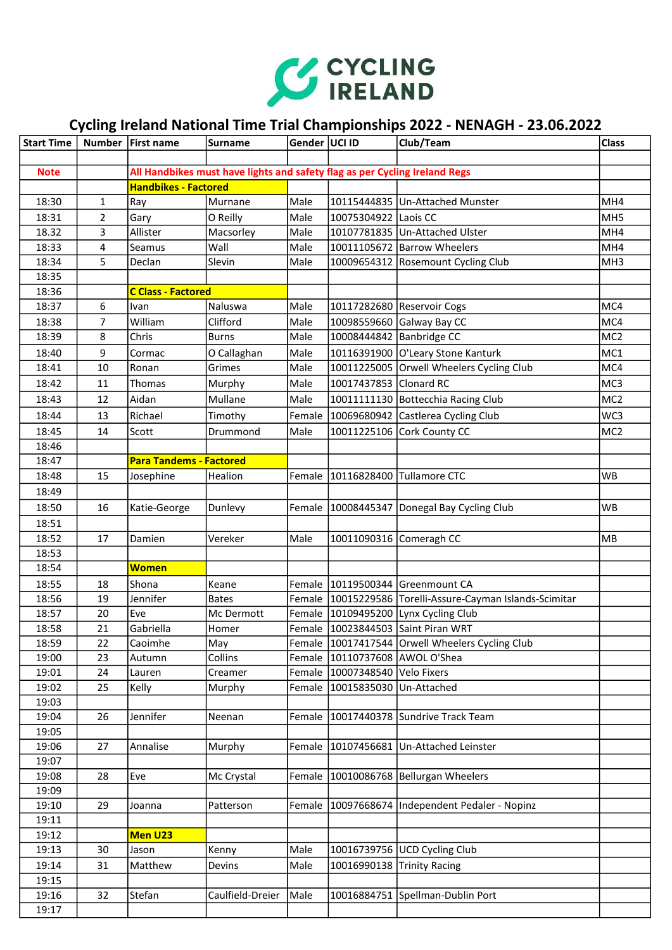

## Cycling Ireland National Time Trial Championships 2022 - NENAGH - 23.06.2022

| <b>Start Time</b> |                | Number   First name            | Surname                                                                    | Gender   UCI ID |                         | Club/Team                                                     | <b>Class</b>    |
|-------------------|----------------|--------------------------------|----------------------------------------------------------------------------|-----------------|-------------------------|---------------------------------------------------------------|-----------------|
|                   |                |                                |                                                                            |                 |                         |                                                               |                 |
| <b>Note</b>       |                |                                | All Handbikes must have lights and safety flag as per Cycling Ireland Regs |                 |                         |                                                               |                 |
|                   |                | <b>Handbikes - Factored</b>    |                                                                            |                 |                         |                                                               |                 |
| 18:30             | $\mathbf{1}$   | Ray                            | Murnane                                                                    | Male            |                         | 10115444835 Un-Attached Munster                               | MH4             |
| 18:31             | $\overline{2}$ | Gary                           | O Reilly                                                                   | Male            | 10075304922 Laois CC    |                                                               | MH <sub>5</sub> |
| 18.32             | 3              | Allister                       | Macsorley                                                                  | Male            |                         | 10107781835 Un-Attached Ulster                                | MH <sub>4</sub> |
| 18:33             | 4              | Seamus                         | Wall                                                                       | Male            |                         | 10011105672 Barrow Wheelers                                   | MH <sub>4</sub> |
| 18:34             | 5              | Declan                         | Slevin                                                                     | Male            |                         | 10009654312 Rosemount Cycling Club                            | MH <sub>3</sub> |
| 18:35             |                |                                |                                                                            |                 |                         |                                                               |                 |
| 18:36             |                | <b>C Class - Factored</b>      |                                                                            |                 |                         |                                                               |                 |
| 18:37             | 6              | Ivan                           | Naluswa                                                                    | Male            |                         | 10117282680 Reservoir Cogs                                    | MC4             |
| 18:38             | 7              | William                        | Clifford                                                                   | Male            |                         | 10098559660 Galway Bay CC                                     | MC4             |
| 18:39             | 8              | Chris                          | <b>Burns</b>                                                               | Male            |                         | 10008444842 Banbridge CC                                      | MC <sub>2</sub> |
| 18:40             | 9              | Cormac                         | O Callaghan                                                                | Male            |                         | 10116391900 O'Leary Stone Kanturk                             | MC1             |
| 18:41             | 10             | Ronan                          | Grimes                                                                     | Male            |                         | 10011225005 Orwell Wheelers Cycling Club                      | MC4             |
| 18:42             | 11             | Thomas                         | Murphy                                                                     | Male            | 10017437853 Clonard RC  |                                                               | MC3             |
| 18:43             | 12             | Aidan                          | Mullane                                                                    | Male            |                         | 10011111130 Bottecchia Racing Club                            | MC <sub>2</sub> |
| 18:44             | 13             | Richael                        | Timothy                                                                    | Female          |                         | 10069680942 Castlerea Cycling Club                            | WC3             |
| 18:45             | 14             | Scott                          | Drummond                                                                   | Male            |                         | 10011225106 Cork County CC                                    | MC <sub>2</sub> |
| 18:46             |                |                                |                                                                            |                 |                         |                                                               |                 |
| 18:47             |                | <b>Para Tandems - Factored</b> |                                                                            |                 |                         |                                                               |                 |
| 18:48             | 15             | Josephine                      | Healion                                                                    |                 |                         | Female   10116828400   Tullamore CTC                          | <b>WB</b>       |
| 18:49             |                |                                |                                                                            |                 |                         |                                                               |                 |
| 18:50             | 16             | Katie-George                   | Dunlevy                                                                    |                 |                         | Female   10008445347   Donegal Bay Cycling Club               | <b>WB</b>       |
| 18:51             |                |                                |                                                                            |                 |                         |                                                               |                 |
| 18:52             | 17             | Damien                         | Vereker                                                                    | Male            |                         | 10011090316 Comeragh CC                                       | MB              |
| 18:53             |                |                                |                                                                            |                 |                         |                                                               |                 |
| 18:54             |                | <b>Women</b>                   |                                                                            |                 |                         |                                                               |                 |
| 18:55             | 18             | Shona                          | Keane                                                                      |                 |                         | Female   10119500344 Greenmount CA                            |                 |
| 18:56             | 19             | Jennifer                       | <b>Bates</b>                                                               |                 |                         | Female   10015229586   Torelli-Assure-Cayman Islands-Scimitar |                 |
| 18:57             | 20             | Eve                            | Mc Dermott                                                                 |                 |                         | Female   10109495200 Lynx Cycling Club                        |                 |
| 18:58             | 21             | Gabriella                      | Homer                                                                      |                 |                         | Female   10023844503 Saint Piran WRT                          |                 |
| 18:59             | 22             | Caoimhe                        | May                                                                        |                 |                         | Female   10017417544   Orwell Wheelers Cycling Club           |                 |
| 19:00             | 23             | Autumn                         | Collins                                                                    | Female          |                         | 10110737608 AWOL O'Shea                                       |                 |
| 19:01             | 24             | Lauren                         | Creamer                                                                    | Female          | 10007348540 Velo Fixers |                                                               |                 |
| 19:02             | 25             | Kelly                          | Murphy                                                                     | Female          | 10015835030             | Un-Attached                                                   |                 |
| 19:03             |                |                                |                                                                            |                 |                         |                                                               |                 |
| 19:04             | 26             | Jennifer                       | Neenan                                                                     | Female          | 10017440378             | Sundrive Track Team                                           |                 |
| 19:05             |                |                                |                                                                            |                 |                         |                                                               |                 |
| 19:06             | 27             | Annalise                       | Murphy                                                                     | Female          | 10107456681             | Un-Attached Leinster                                          |                 |
| 19:07             |                |                                |                                                                            |                 |                         |                                                               |                 |
| 19:08             | 28             | Eve                            | Mc Crystal                                                                 | Female          |                         | 10010086768 Bellurgan Wheelers                                |                 |
| 19:09             | 29             |                                |                                                                            |                 |                         |                                                               |                 |
| 19:10<br>19:11    |                | Joanna                         | Patterson                                                                  | Female          | 10097668674             | Independent Pedaler - Nopinz                                  |                 |
|                   |                | Men U23                        |                                                                            |                 |                         |                                                               |                 |
| 19:12<br>19:13    | 30             | Jason                          | Kenny                                                                      | Male            |                         | 10016739756 UCD Cycling Club                                  |                 |
|                   |                |                                |                                                                            |                 |                         |                                                               |                 |
| 19:14<br>19:15    | 31             | Matthew                        | Devins                                                                     | Male            | 10016990138             | <b>Trinity Racing</b>                                         |                 |
| 19:16             | 32             | Stefan                         | Caulfield-Dreier                                                           | Male            | 10016884751             | Spellman-Dublin Port                                          |                 |
| 19:17             |                |                                |                                                                            |                 |                         |                                                               |                 |
|                   |                |                                |                                                                            |                 |                         |                                                               |                 |